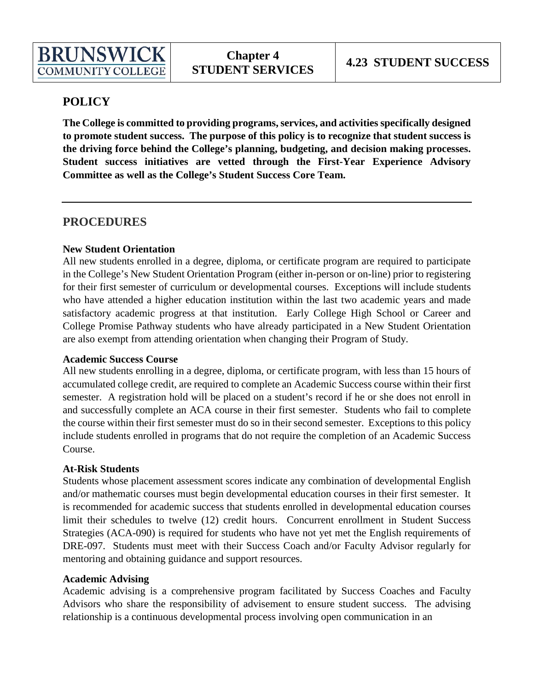# **POLICY**

**The College is committed to providing programs, services, and activities specifically designed to promote student success. The purpose of this policy is to recognize that student success is the driving force behind the College's planning, budgeting, and decision making processes. Student success initiatives are vetted through the First-Year Experience Advisory Committee as well as the College's Student Success Core Team.**

# **PROCEDURES**

## **New Student Orientation**

All new students enrolled in a degree, diploma, or certificate program are required to participate in the College's New Student Orientation Program (either in-person or on-line) prior to registering for their first semester of curriculum or developmental courses. Exceptions will include students who have attended a higher education institution within the last two academic years and made satisfactory academic progress at that institution. Early College High School or Career and College Promise Pathway students who have already participated in a New Student Orientation are also exempt from attending orientation when changing their Program of Study.

## **Academic Success Course**

All new students enrolling in a degree, diploma, or certificate program, with less than 15 hours of accumulated college credit, are required to complete an Academic Success course within their first semester. A registration hold will be placed on a student's record if he or she does not enroll in and successfully complete an ACA course in their first semester. Students who fail to complete the course within their first semester must do so in their second semester. Exceptions to this policy include students enrolled in programs that do not require the completion of an Academic Success Course.

## **At-Risk Students**

Students whose placement assessment scores indicate any combination of developmental English and/or mathematic courses must begin developmental education courses in their first semester. It is recommended for academic success that students enrolled in developmental education courses limit their schedules to twelve (12) credit hours. Concurrent enrollment in Student Success Strategies (ACA-090) is required for students who have not yet met the English requirements of DRE-097. Students must meet with their Success Coach and/or Faculty Advisor regularly for mentoring and obtaining guidance and support resources.

#### **Academic Advising**

Academic advising is a comprehensive program facilitated by Success Coaches and Faculty Advisors who share the responsibility of advisement to ensure student success. The advising relationship is a continuous developmental process involving open communication in an